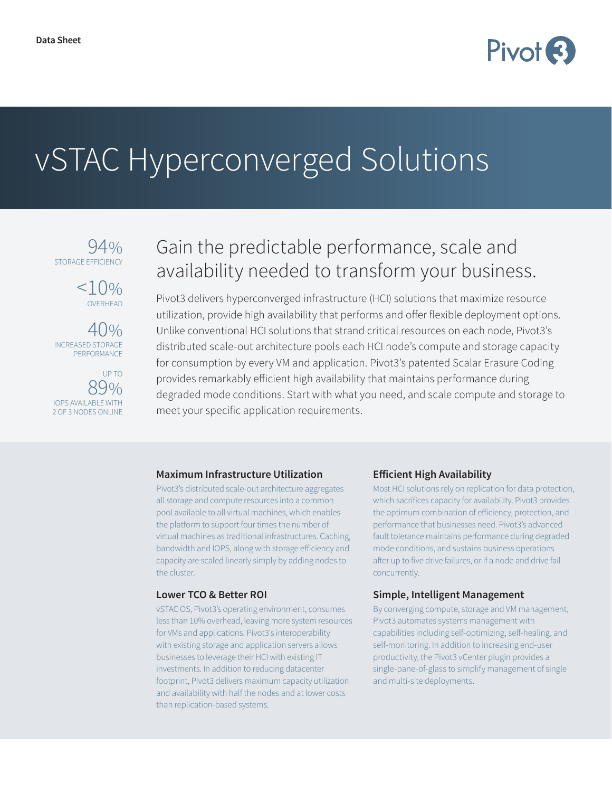

# vSTAC Hyperconverged Solutions

 $94%$ STORAGE EFFICIENC



40% INCREASED STORAGE PERFORMANCE

UP TO 89% IOPS AVAILABLE WITH 2 OF 3 NODES ONLINE

## Gain the predictable performance, scale and availability needed to transform your business.

Pivot3 delivers hyperconverged infrastructure (HCI) solutions that maximize resource utilization, provide high availability that performs and offer flexible deployment options. Unlike conventional HCI solutions that strand critical resources on each node, Pivot3's distributed scale-out architecture pools each HCI node's compute and storage capacity for consumption by every VM and application. Pivot3's patented Scalar Erasure Coding provides remarkably efficient high availability that maintains performance during degraded mode conditions. Start with what you need, and scale compute and storage to meet your specific application requirements.

#### **Maximum Infrastructure Utilization**

Pivot3's distributed scale-out architecture aggregates all storage and compute resources into a common pool available to all virtual machines, which enables the platform to support four times the number of virtual machines as traditional infrastructures. Caching, bandwidth and IOPS, along with storage efficiency and capacity are scaled linearly simply by adding nodes to the cluster.

#### **Lower TCO & Better ROI**

vSTAC OS, Pivot3's operating environment, consumes less than 10% overhead, leaving more system resources for VMs and applications. Pivot3's interoperability with existing storage and application servers allows businesses to leverage their HCI with existing IT investments. In addition to reducing datacenter footprint, Pivot3 delivers maximum capacity utilization and availability with half the nodes and at lower costs than replication-based systems.

#### **Efficient High Availability**

Most HCI solutions rely on replication for data protection, which sacrifices capacity for availability. Pivot3 provides the optimum combination of efficiency, protection, and performance that businesses need. Pivot3's advanced fault tolerance maintains performance during degraded mode conditions, and sustains business operations after up to five drive failures, or if a node and drive fail concurrently.

#### **Simple, Intelligent Management**

By converging compute, storage and VM management, Pivot3 automates systems management with capabilities including self-optimizing, self-healing, and self-monitoring. In addition to increasing end-user productivity, the Pivot3 vCenter plugin provides a single-pane-of-glass to simplify management of single and multi-site deployments.